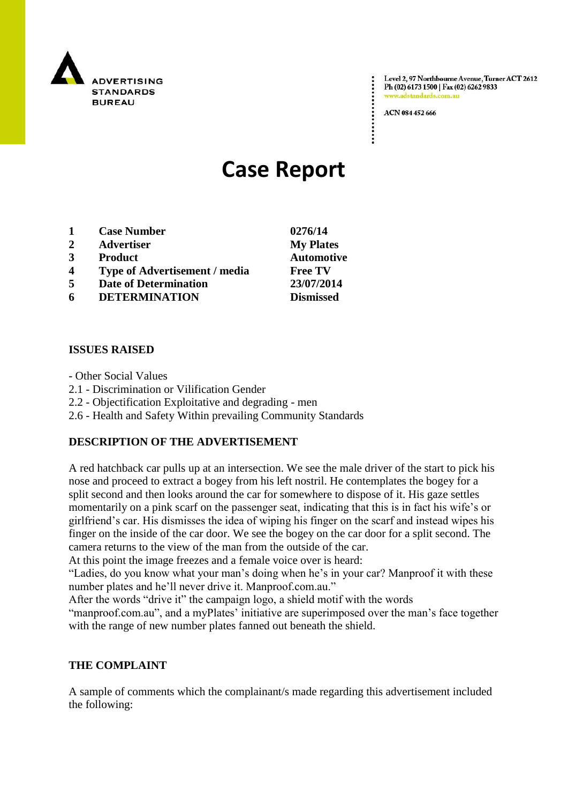

Level 2, 97 Northbourne Avenue, Turner ACT 2612 Ph (02) 6173 1500 | Fax (02) 6262 9833 www.adstandards.com.a

ACN 084 452 666

# **Case Report**

- **1 Case Number 0276/14**
- **2 Advertiser My Plates**
- **3 Product Automotive**
- **4 Type of Advertisement / media Free TV**
- **5 Date of Determination 23/07/2014**
- **6 DETERMINATION Dismissed**

## **ISSUES RAISED**

- Other Social Values
- 2.1 Discrimination or Vilification Gender
- 2.2 Objectification Exploitative and degrading men
- 2.6 Health and Safety Within prevailing Community Standards

## **DESCRIPTION OF THE ADVERTISEMENT**

A red hatchback car pulls up at an intersection. We see the male driver of the start to pick his nose and proceed to extract a bogey from his left nostril. He contemplates the bogey for a split second and then looks around the car for somewhere to dispose of it. His gaze settles momentarily on a pink scarf on the passenger seat, indicating that this is in fact his wife's or girlfriend's car. His dismisses the idea of wiping his finger on the scarf and instead wipes his finger on the inside of the car door. We see the bogey on the car door for a split second. The camera returns to the view of the man from the outside of the car.

At this point the image freezes and a female voice over is heard:

"Ladies, do you know what your man's doing when he's in your car? Manproof it with these number plates and he'll never drive it. Manproof.com.au."

After the words "drive it" the campaign logo, a shield motif with the words

"manproof.com.au", and a myPlates' initiative are superimposed over the man's face together with the range of new number plates fanned out beneath the shield.

## **THE COMPLAINT**

A sample of comments which the complainant/s made regarding this advertisement included the following: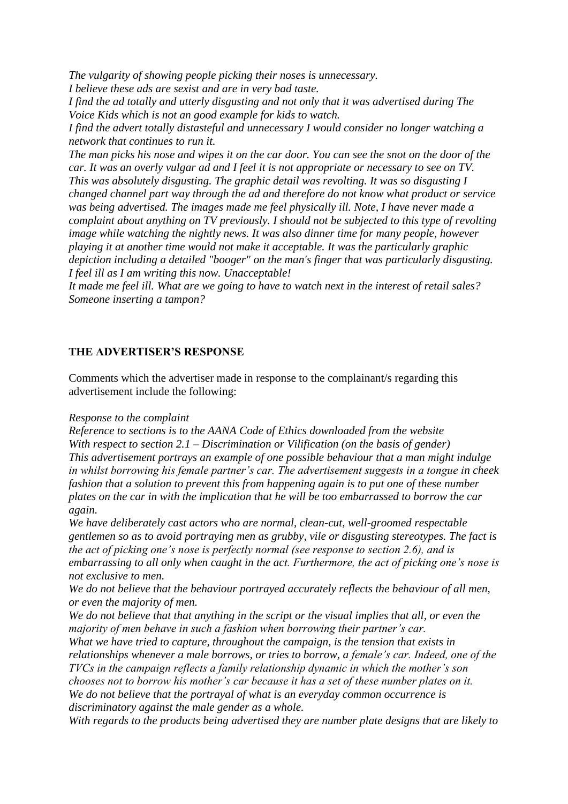*The vulgarity of showing people picking their noses is unnecessary.*

*I believe these ads are sexist and are in very bad taste.*

*I find the ad totally and utterly disgusting and not only that it was advertised during The Voice Kids which is not an good example for kids to watch.*

*I find the advert totally distasteful and unnecessary I would consider no longer watching a network that continues to run it.*

*The man picks his nose and wipes it on the car door. You can see the snot on the door of the car. It was an overly vulgar ad and I feel it is not appropriate or necessary to see on TV. This was absolutely disgusting. The graphic detail was revolting. It was so disgusting I changed channel part way through the ad and therefore do not know what product or service was being advertised. The images made me feel physically ill. Note, I have never made a complaint about anything on TV previously. I should not be subjected to this type of revolting image while watching the nightly news. It was also dinner time for many people, however playing it at another time would not make it acceptable. It was the particularly graphic depiction including a detailed "booger" on the man's finger that was particularly disgusting. I feel ill as I am writing this now. Unacceptable!*

*It made me feel ill. What are we going to have to watch next in the interest of retail sales? Someone inserting a tampon?*

# **THE ADVERTISER'S RESPONSE**

Comments which the advertiser made in response to the complainant/s regarding this advertisement include the following:

## *Response to the complaint*

*Reference to sections is to the AANA Code of Ethics downloaded from the website With respect to section 2.1 – Discrimination or Vilification (on the basis of gender) This advertisement portrays an example of one possible behaviour that a man might indulge in whilst borrowing his female partner's car. The advertisement suggests in a tongue in cheek fashion that a solution to prevent this from happening again is to put one of these number plates on the car in with the implication that he will be too embarrassed to borrow the car again.*

*We have deliberately cast actors who are normal, clean-cut, well-groomed respectable gentlemen so as to avoid portraying men as grubby, vile or disgusting stereotypes. The fact is the act of picking one's nose is perfectly normal (see response to section 2.6), and is embarrassing to all only when caught in the act. Furthermore, the act of picking one's nose is not exclusive to men.*

*We do not believe that the behaviour portrayed accurately reflects the behaviour of all men, or even the majority of men.*

*We do not believe that that anything in the script or the visual implies that all, or even the majority of men behave in such a fashion when borrowing their partner's car.*

*What we have tried to capture, throughout the campaign, is the tension that exists in relationships whenever a male borrows, or tries to borrow, a female's car. Indeed, one of the TVCs in the campaign reflects a family relationship dynamic in which the mother's son chooses not to borrow his mother's car because it has a set of these number plates on it. We do not believe that the portrayal of what is an everyday common occurrence is discriminatory against the male gender as a whole.*

*With regards to the products being advertised they are number plate designs that are likely to*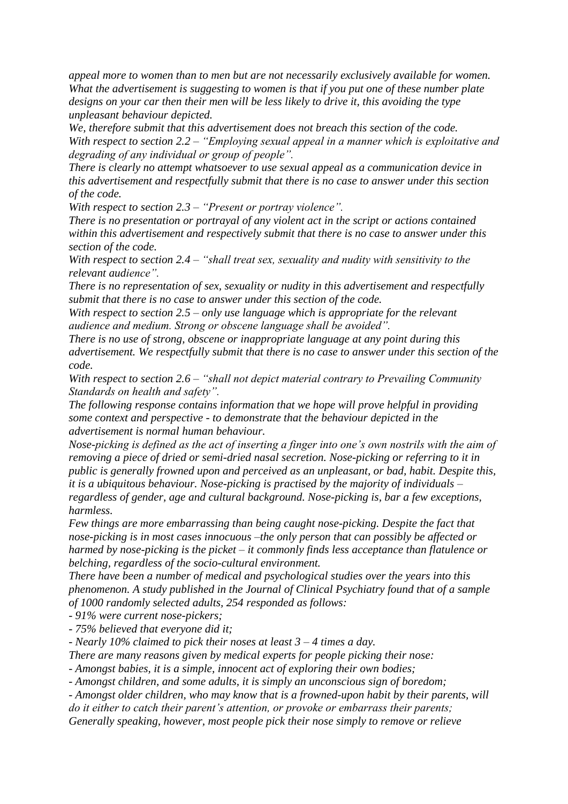*appeal more to women than to men but are not necessarily exclusively available for women. What the advertisement is suggesting to women is that if you put one of these number plate designs on your car then their men will be less likely to drive it, this avoiding the type unpleasant behaviour depicted.*

*We, therefore submit that this advertisement does not breach this section of the code. With respect to section 2.2 – "Employing sexual appeal in a manner which is exploitative and degrading of any individual or group of people".*

*There is clearly no attempt whatsoever to use sexual appeal as a communication device in this advertisement and respectfully submit that there is no case to answer under this section of the code.*

*With respect to section 2.3 – "Present or portray violence".*

*There is no presentation or portrayal of any violent act in the script or actions contained within this advertisement and respectively submit that there is no case to answer under this section of the code.*

*With respect to section 2.4 – "shall treat sex, sexuality and nudity with sensitivity to the relevant audience".*

*There is no representation of sex, sexuality or nudity in this advertisement and respectfully submit that there is no case to answer under this section of the code.*

*With respect to section 2.5 – only use language which is appropriate for the relevant audience and medium. Strong or obscene language shall be avoided".*

*There is no use of strong, obscene or inappropriate language at any point during this advertisement. We respectfully submit that there is no case to answer under this section of the code.*

*With respect to section 2.6 – "shall not depict material contrary to Prevailing Community Standards on health and safety".*

*The following response contains information that we hope will prove helpful in providing some context and perspective - to demonstrate that the behaviour depicted in the advertisement is normal human behaviour.*

*Nose-picking is defined as the act of inserting a finger into one's own nostrils with the aim of removing a piece of dried or semi-dried nasal secretion. Nose-picking or referring to it in public is generally frowned upon and perceived as an unpleasant, or bad, habit. Despite this, it is a ubiquitous behaviour. Nose-picking is practised by the majority of individuals – regardless of gender, age and cultural background. Nose-picking is, bar a few exceptions, harmless.*

*Few things are more embarrassing than being caught nose-picking. Despite the fact that nose-picking is in most cases innocuous –the only person that can possibly be affected or harmed by nose-picking is the picket – it commonly finds less acceptance than flatulence or belching, regardless of the socio-cultural environment.*

*There have been a number of medical and psychological studies over the years into this phenomenon. A study published in the Journal of Clinical Psychiatry found that of a sample of 1000 randomly selected adults, 254 responded as follows:*

*- 91% were current nose-pickers;*

*- 75% believed that everyone did it;*

*- Nearly 10% claimed to pick their noses at least 3 – 4 times a day.*

*There are many reasons given by medical experts for people picking their nose:*

*- Amongst babies, it is a simple, innocent act of exploring their own bodies;*

*- Amongst children, and some adults, it is simply an unconscious sign of boredom;*

*- Amongst older children, who may know that is a frowned-upon habit by their parents, will* 

*do it either to catch their parent's attention, or provoke or embarrass their parents;*

*Generally speaking, however, most people pick their nose simply to remove or relieve*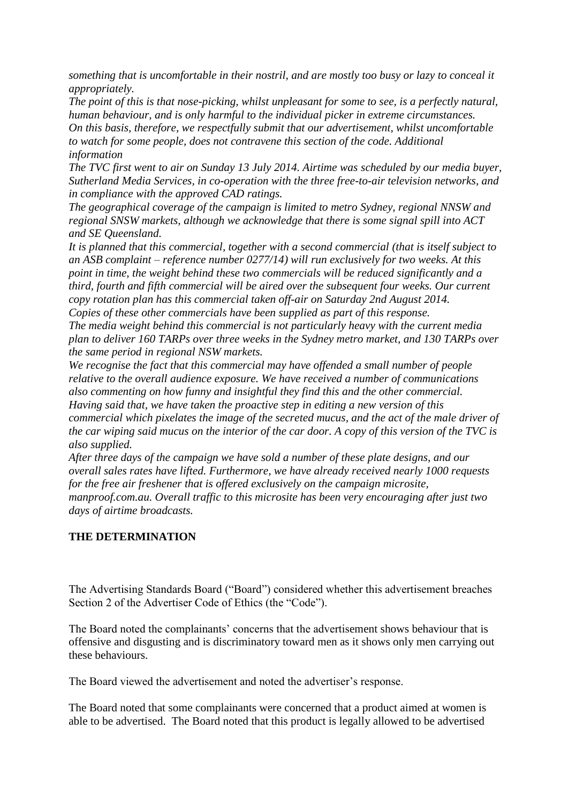*something that is uncomfortable in their nostril, and are mostly too busy or lazy to conceal it appropriately.*

*The point of this is that nose-picking, whilst unpleasant for some to see, is a perfectly natural, human behaviour, and is only harmful to the individual picker in extreme circumstances. On this basis, therefore, we respectfully submit that our advertisement, whilst uncomfortable to watch for some people, does not contravene this section of the code. Additional information*

*The TVC first went to air on Sunday 13 July 2014. Airtime was scheduled by our media buyer, Sutherland Media Services, in co-operation with the three free-to-air television networks, and in compliance with the approved CAD ratings.*

*The geographical coverage of the campaign is limited to metro Sydney, regional NNSW and regional SNSW markets, although we acknowledge that there is some signal spill into ACT and SE Queensland.*

*It is planned that this commercial, together with a second commercial (that is itself subject to an ASB complaint – reference number 0277/14) will run exclusively for two weeks. At this point in time, the weight behind these two commercials will be reduced significantly and a third, fourth and fifth commercial will be aired over the subsequent four weeks. Our current copy rotation plan has this commercial taken off-air on Saturday 2nd August 2014. Copies of these other commercials have been supplied as part of this response.*

*The media weight behind this commercial is not particularly heavy with the current media plan to deliver 160 TARPs over three weeks in the Sydney metro market, and 130 TARPs over the same period in regional NSW markets.*

*We recognise the fact that this commercial may have offended a small number of people relative to the overall audience exposure. We have received a number of communications also commenting on how funny and insightful they find this and the other commercial. Having said that, we have taken the proactive step in editing a new version of this commercial which pixelates the image of the secreted mucus, and the act of the male driver of the car wiping said mucus on the interior of the car door. A copy of this version of the TVC is also supplied.*

*After three days of the campaign we have sold a number of these plate designs, and our overall sales rates have lifted. Furthermore, we have already received nearly 1000 requests for the free air freshener that is offered exclusively on the campaign microsite, manproof.com.au. Overall traffic to this microsite has been very encouraging after just two days of airtime broadcasts.*

# **THE DETERMINATION**

The Advertising Standards Board ("Board") considered whether this advertisement breaches Section 2 of the Advertiser Code of Ethics (the "Code").

The Board noted the complainants' concerns that the advertisement shows behaviour that is offensive and disgusting and is discriminatory toward men as it shows only men carrying out these behaviours.

The Board viewed the advertisement and noted the advertiser's response.

The Board noted that some complainants were concerned that a product aimed at women is able to be advertised. The Board noted that this product is legally allowed to be advertised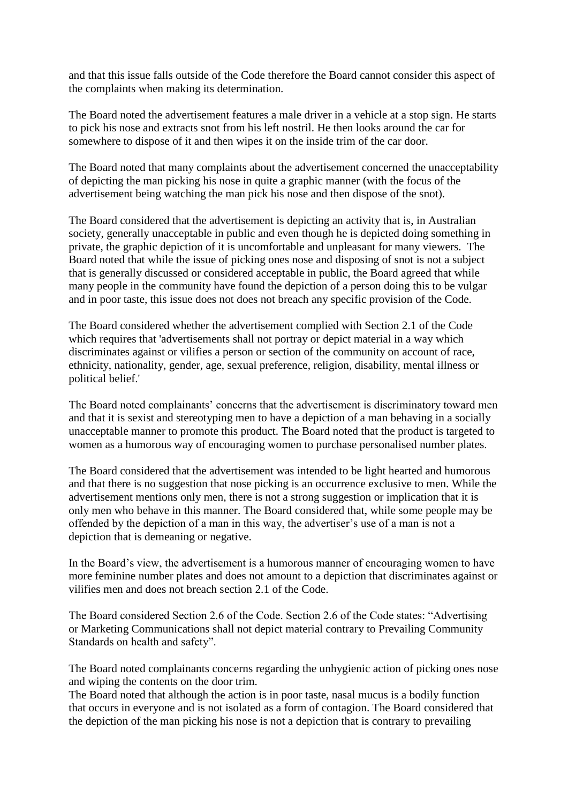and that this issue falls outside of the Code therefore the Board cannot consider this aspect of the complaints when making its determination.

The Board noted the advertisement features a male driver in a vehicle at a stop sign. He starts to pick his nose and extracts snot from his left nostril. He then looks around the car for somewhere to dispose of it and then wipes it on the inside trim of the car door.

The Board noted that many complaints about the advertisement concerned the unacceptability of depicting the man picking his nose in quite a graphic manner (with the focus of the advertisement being watching the man pick his nose and then dispose of the snot).

The Board considered that the advertisement is depicting an activity that is, in Australian society, generally unacceptable in public and even though he is depicted doing something in private, the graphic depiction of it is uncomfortable and unpleasant for many viewers. The Board noted that while the issue of picking ones nose and disposing of snot is not a subject that is generally discussed or considered acceptable in public, the Board agreed that while many people in the community have found the depiction of a person doing this to be vulgar and in poor taste, this issue does not does not breach any specific provision of the Code.

The Board considered whether the advertisement complied with Section 2.1 of the Code which requires that 'advertisements shall not portray or depict material in a way which discriminates against or vilifies a person or section of the community on account of race, ethnicity, nationality, gender, age, sexual preference, religion, disability, mental illness or political belief.'

The Board noted complainants' concerns that the advertisement is discriminatory toward men and that it is sexist and stereotyping men to have a depiction of a man behaving in a socially unacceptable manner to promote this product. The Board noted that the product is targeted to women as a humorous way of encouraging women to purchase personalised number plates.

The Board considered that the advertisement was intended to be light hearted and humorous and that there is no suggestion that nose picking is an occurrence exclusive to men. While the advertisement mentions only men, there is not a strong suggestion or implication that it is only men who behave in this manner. The Board considered that, while some people may be offended by the depiction of a man in this way, the advertiser's use of a man is not a depiction that is demeaning or negative.

In the Board's view, the advertisement is a humorous manner of encouraging women to have more feminine number plates and does not amount to a depiction that discriminates against or vilifies men and does not breach section 2.1 of the Code.

The Board considered Section 2.6 of the Code. Section 2.6 of the Code states: "Advertising or Marketing Communications shall not depict material contrary to Prevailing Community Standards on health and safety".

The Board noted complainants concerns regarding the unhygienic action of picking ones nose and wiping the contents on the door trim.

The Board noted that although the action is in poor taste, nasal mucus is a bodily function that occurs in everyone and is not isolated as a form of contagion. The Board considered that the depiction of the man picking his nose is not a depiction that is contrary to prevailing